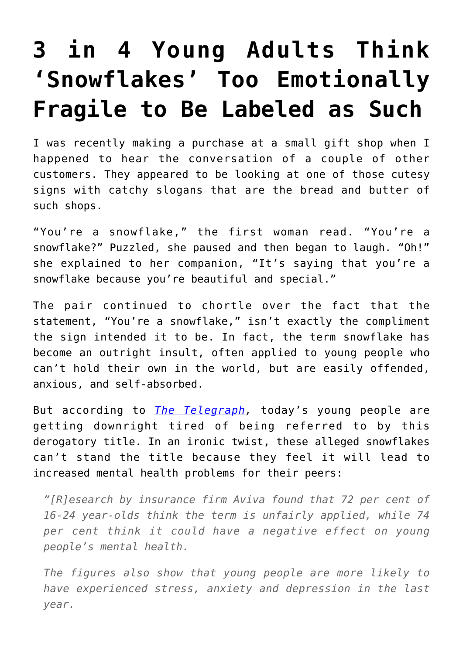## **[3 in 4 Young Adults Think](https://intellectualtakeout.org/2017/12/3-in-4-young-adults-think-snowflakes-too-emotionally-fragile-to-be-labeled-as-such/) ['Snowflakes' Too Emotionally](https://intellectualtakeout.org/2017/12/3-in-4-young-adults-think-snowflakes-too-emotionally-fragile-to-be-labeled-as-such/) [Fragile to Be Labeled as Such](https://intellectualtakeout.org/2017/12/3-in-4-young-adults-think-snowflakes-too-emotionally-fragile-to-be-labeled-as-such/)**

I was recently making a purchase at a small gift shop when I happened to hear the conversation of a couple of other customers. They appeared to be looking at one of those cutesy signs with catchy slogans that are the bread and butter of such shops.

"You're a snowflake," the first woman read. "You're a snowflake?" Puzzled, she paused and then began to laugh. "Oh!" she explained to her companion, "It's saying that you're a snowflake because you're beautiful and special."

The pair continued to chortle over the fact that the statement, "You're a snowflake," isn't exactly the compliment the sign intended it to be. In fact, the term snowflake has become an outright insult, often applied to young people who can't hold their own in the world, but are easily offended, anxious, and self-absorbed.

But according to *[The Telegraph,](http://www.telegraph.co.uk/news/2017/12/06/dont-call-us-snowflakes-damages-mental-health-say-young-people/)* today's young people are getting downright tired of being referred to by this derogatory title. In an ironic twist, these alleged snowflakes can't stand the title because they feel it will lead to increased mental health problems for their peers:

*"[R]esearch by insurance firm Aviva found that 72 per cent of 16-24 year-olds think the term is unfairly applied, while 74 per cent think it could have a negative effect on young people's mental health.*

*The figures also show that young people are more likely to have experienced stress, anxiety and depression in the last year.*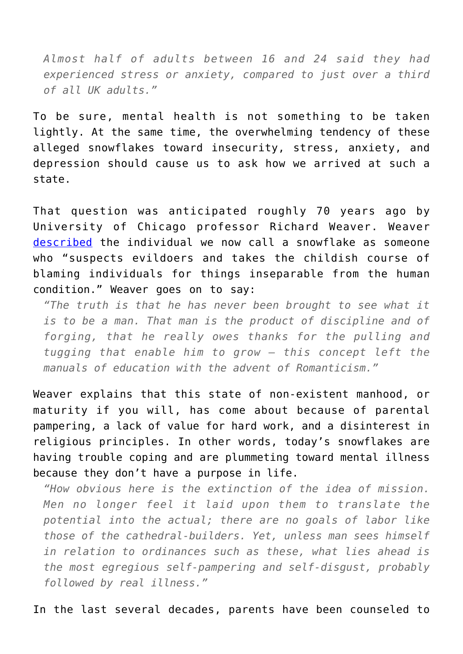*Almost half of adults between 16 and 24 said they had experienced stress or anxiety, compared to just over a third of all UK adults."*

To be sure, mental health is not something to be taken lightly. At the same time, the overwhelming tendency of these alleged snowflakes toward insecurity, stress, anxiety, and depression should cause us to ask how we arrived at such a state.

That question was anticipated roughly 70 years ago by University of Chicago professor Richard Weaver. Weaver [described](https://www.amazon.com/gp/product/022609006X/ref=as_li_qf_sp_asin_il_tl?ie=UTF8&tag=intelltakeo0d-20&camp=1789&creative=9325&linkCode=as2&creativeASIN=022609006X&linkId=dbd4137e05a69a5cddce23e8d874fe83) the individual we now call a snowflake as someone who "suspects evildoers and takes the childish course of blaming individuals for things inseparable from the human condition." Weaver goes on to say:

*"The truth is that he has never been brought to see what it is to be a man. That man is the product of discipline and of forging, that he really owes thanks for the pulling and tugging that enable him to grow – this concept left the manuals of education with the advent of Romanticism."*

Weaver explains that this state of non-existent manhood, or maturity if you will, has come about because of parental pampering, a lack of value for hard work, and a disinterest in religious principles. In other words, today's snowflakes are having trouble coping and are plummeting toward mental illness because they don't have a purpose in life.

*"How obvious here is the extinction of the idea of mission. Men no longer feel it laid upon them to translate the potential into the actual; there are no goals of labor like those of the cathedral-builders. Yet, unless man sees himself in relation to ordinances such as these, what lies ahead is the most egregious self-pampering and self-disgust, probably followed by real illness."*

In the last several decades, parents have been counseled to